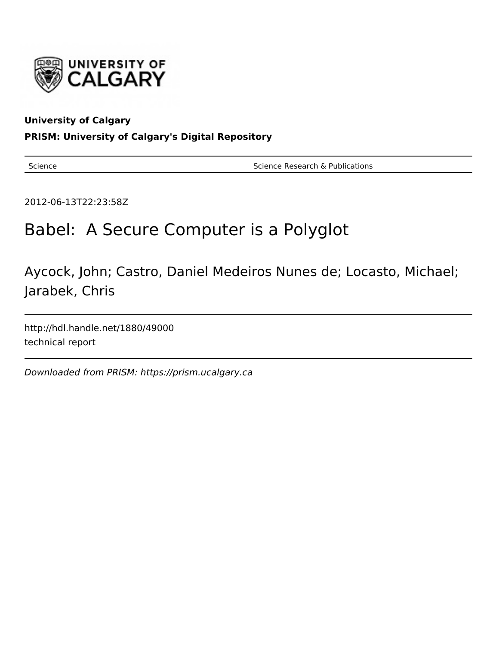

# **University of Calgary**

# **PRISM: University of Calgary's Digital Repository**

Science **Science Research & Publications** Science Research & Publications

2012-06-13T22:23:58Z

# Babel: A Secure Computer is a Polyglot

Aycock, John; Castro, Daniel Medeiros Nunes de; Locasto, Michael; Jarabek, Chris

http://hdl.handle.net/1880/49000 technical report

Downloaded from PRISM: https://prism.ucalgary.ca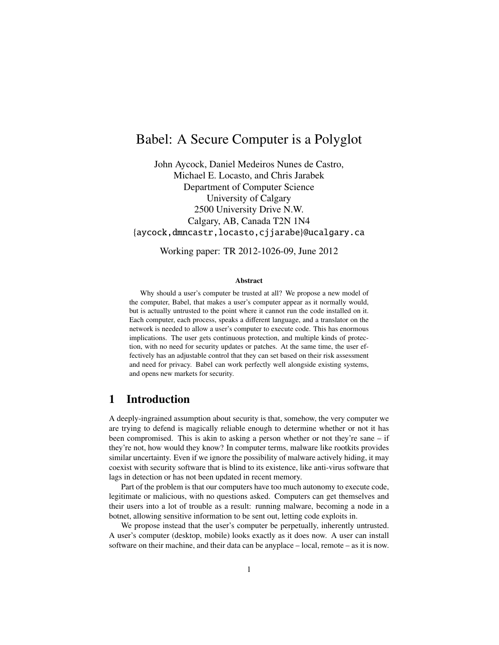# Babel: A Secure Computer is a Polyglot

John Aycock, Daniel Medeiros Nunes de Castro, Michael E. Locasto, and Chris Jarabek Department of Computer Science University of Calgary 2500 University Drive N.W. Calgary, AB, Canada T2N 1N4 {aycock,dmncastr,locasto,cjjarabe}@ucalgary.ca

Working paper: TR 2012-1026-09, June 2012

#### **Abstract**

Why should a user's computer be trusted at all? We propose a new model of the computer, Babel, that makes a user's computer appear as it normally would, but is actually untrusted to the point where it cannot run the code installed on it. Each computer, each process, speaks a different language, and a translator on the network is needed to allow a user's computer to execute code. This has enormous implications. The user gets continuous protection, and multiple kinds of protection, with no need for security updates or patches. At the same time, the user effectively has an adjustable control that they can set based on their risk assessment and need for privacy. Babel can work perfectly well alongside existing systems, and opens new markets for security.

### 1 Introduction

A deeply-ingrained assumption about security is that, somehow, the very computer we are trying to defend is magically reliable enough to determine whether or not it has been compromised. This is akin to asking a person whether or not they're sane  $-$  if they're not, how would they know? In computer terms, malware like rootkits provides similar uncertainty. Even if we ignore the possibility of malware actively hiding, it may coexist with security software that is blind to its existence, like anti-virus software that lags in detection or has not been updated in recent memory.

Part of the problem is that our computers have too much autonomy to execute code, legitimate or malicious, with no questions asked. Computers can get themselves and their users into a lot of trouble as a result: running malware, becoming a node in a botnet, allowing sensitive information to be sent out, letting code exploits in.

We propose instead that the user's computer be perpetually, inherently untrusted. A user's computer (desktop, mobile) looks exactly as it does now. A user can install software on their machine, and their data can be anyplace – local, remote – as it is now.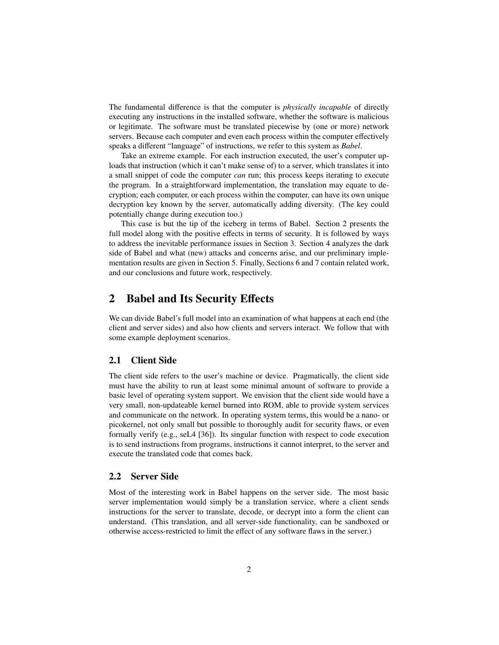The fundamental difference is that the computer is *physically incapable* of directly executing any instructions in the installed software, whether the software is malicious or legitimate. The software must be translated piecewise by (one or more) network servers. Because each computer and even each process within the computer effectively speaks a different "language" of instructions, we refer to this system as *Babel*.

Take an extreme example. For each instruction executed, the user's computer uploads that instruction (which it can't make sense of) to a server, which translates it into a small snippet of code the computer *can* run; this process keeps iterating to execute the program. In a straightforward implementation, the translation may equate to decryption; each computer, or each process within the computer, can have its own unique decryption key known by the server, automatically adding diversity. (The key could potentially change during execution too.)

This case is but the tip of the iceberg in terms of Babel. Section 2 presents the full model along with the positive effects in terms of security. It is followed by ways to address the inevitable performance issues in Section 3. Section 4 analyzes the dark side of Babel and what (new) attacks and concerns arise, and our preliminary implementation results are given in Section 5. Finally, Sections 6 and 7 contain related work, and our conclusions and future work, respectively.

# 2 Babel and Its Security Effects

We can divide Babel's full model into an examination of what happens at each end (the client and server sides) and also how clients and servers interact. We follow that with some example deployment scenarios.

### 2.1 Client Side

The client side refers to the user's machine or device. Pragmatically, the client side must have the ability to run at least some minimal amount of software to provide a basic level of operating system support. We envision that the client side would have a very small, non-updateable kernel burned into ROM, able to provide system services and communicate on the network. In operating system terms, this would be a nano- or picokernel, not only small but possible to thoroughly audit for security flaws, or even formally verify (e.g., seL4 [36]). Its singular function with respect to code execution is to send instructions from programs, instructions it cannot interpret, to the server and execute the translated code that comes back.

### 2.2 Server Side

Most of the interesting work in Babel happens on the server side. The most basic server implementation would simply be a translation service, where a client sends instructions for the server to translate, decode, or decrypt into a form the client can understand. (This translation, and all server-side functionality, can be sandboxed or otherwise access-restricted to limit the effect of any software flaws in the server.)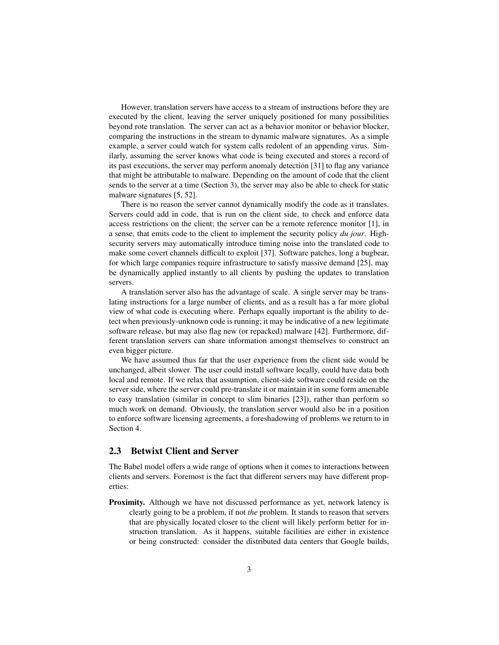However, translation servers have access to a stream of instructions before they are executed by the client, leaving the server uniquely positioned for many possibilities beyond rote translation. The server can act as a behavior monitor or behavior blocker, comparing the instructions in the stream to dynamic malware signatures. As a simple example, a server could watch for system calls redolent of an appending virus. Similarly, assuming the server knows what code is being executed and stores a record of its past executions, the server may perform anomaly detection [31] to flag any variance that might be attributable to malware. Depending on the amount of code that the client sends to the server at a time (Section 3), the server may also be able to check for static malware signatures [5, 52].

There is no reason the server cannot dynamically modify the code as it translates. Servers could add in code, that is run on the client side, to check and enforce data access restrictions on the client; the server can be a remote reference monitor [1], in a sense, that emits code to the client to implement the security policy *du jour*. Highsecurity servers may automatically introduce timing noise into the translated code to make some covert channels difficult to exploit [37]. Software patches, long a bugbear, for which large companies require infrastructure to satisfy massive demand [25], may be dynamically applied instantly to all clients by pushing the updates to translation servers.

A translation server also has the advantage of scale. A single server may be translating instructions for a large number of clients, and as a result has a far more global view of what code is executing where. Perhaps equally important is the ability to detect when previously-unknown code is running; it may be indicative of a new legitimate software release, but may also flag new (or repacked) malware [42]. Furthermore, different translation servers can share information amongst themselves to construct an even bigger picture.

We have assumed thus far that the user experience from the client side would be unchanged, albeit slower. The user could install software locally, could have data both local and remote. If we relax that assumption, client-side software could reside on the server side, where the server could pre-translate it or maintain it in some form amenable to easy translation (similar in concept to slim binaries [23]), rather than perform so much work on demand. Obviously, the translation server would also be in a position to enforce software licensing agreements, a foreshadowing of problems we return to in Section 4.

### 2.3 Betwixt Client and Server

The Babel model offers a wide range of options when it comes to interactions between clients and servers. Foremost is the fact that different servers may have different properties:

Proximity. Although we have not discussed performance as yet, network latency is clearly going to be a problem, if not *the* problem. It stands to reason that servers that are physically located closer to the client will likely perform better for instruction translation. As it happens, suitable facilities are either in existence or being constructed: consider the distributed data centers that Google builds,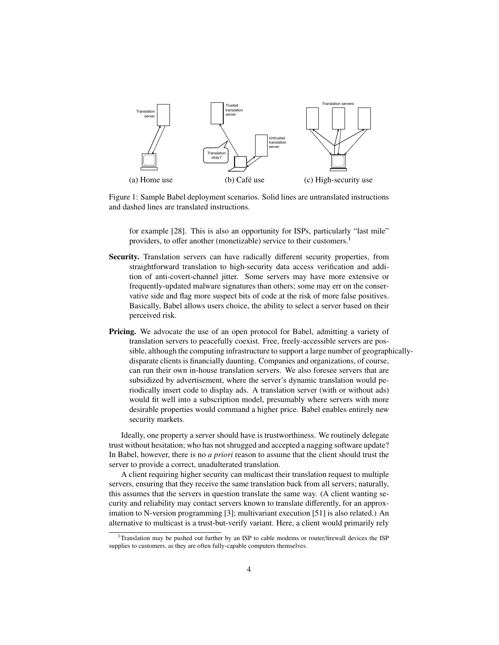

Figure 1: Sample Babel deployment scenarios. Solid lines are untranslated instructions and dashed lines are translated instructions.

for example [28]. This is also an opportunity for ISPs, particularly "last mile" providers, to offer another (monetizable) service to their customers.<sup>1</sup>

- Security. Translation servers can have radically different security properties, from straightforward translation to high-security data access verification and addition of anti-covert-channel jitter. Some servers may have more extensive or frequently-updated malware signatures than others; some may err on the conservative side and flag more suspect bits of code at the risk of more false positives. Basically, Babel allows users choice, the ability to select a server based on their perceived risk.
- Pricing. We advocate the use of an open protocol for Babel, admitting a variety of translation servers to peacefully coexist. Free, freely-accessible servers are possible, although the computing infrastructure to support a large number of geographicallydisparate clients is financially daunting. Companies and organizations, of course, can run their own in-house translation servers. We also foresee servers that are subsidized by advertisement, where the server's dynamic translation would periodically insert code to display ads. A translation server (with or without ads) would fit well into a subscription model, presumably where servers with more desirable properties would command a higher price. Babel enables entirely new security markets.

Ideally, one property a server should have is trustworthiness. We routinely delegate trust without hesitation; who has not shrugged and accepted a nagging software update? In Babel, however, there is no *a priori* reason to assume that the client should trust the server to provide a correct, unadulterated translation.

A client requiring higher security can multicast their translation request to multiple servers, ensuring that they receive the same translation back from all servers; naturally, this assumes that the servers in question translate the same way. (A client wanting security and reliability may contact servers known to translate differently, for an approximation to N-version programming [3]; multivariant execution [51] is also related.) An alternative to multicast is a trust-but-verify variant. Here, a client would primarily rely

<sup>&</sup>lt;sup>1</sup>Translation may be pushed out further by an ISP to cable modems or router/firewall devices the ISP supplies to customers, as they are often fully-capable computers themselves.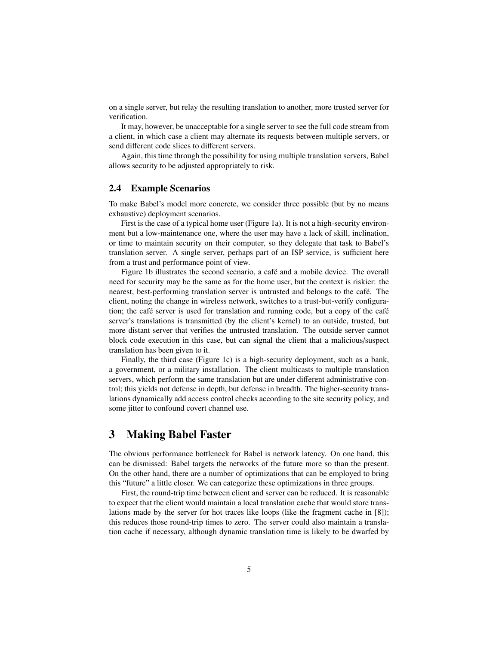on a single server, but relay the resulting translation to another, more trusted server for verification.

It may, however, be unacceptable for a single server to see the full code stream from a client, in which case a client may alternate its requests between multiple servers, or send different code slices to different servers.

Again, this time through the possibility for using multiple translation servers, Babel allows security to be adjusted appropriately to risk.

### 2.4 Example Scenarios

To make Babel's model more concrete, we consider three possible (but by no means exhaustive) deployment scenarios.

First is the case of a typical home user (Figure 1a). It is not a high-security environment but a low-maintenance one, where the user may have a lack of skill, inclination, or time to maintain security on their computer, so they delegate that task to Babel's translation server. A single server, perhaps part of an ISP service, is sufficient here from a trust and performance point of view.

Figure 1b illustrates the second scenario, a cafe and a mobile device. The overall ´ need for security may be the same as for the home user, but the context is riskier: the nearest, best-performing translation server is untrusted and belongs to the cafe. The ´ client, noting the change in wireless network, switches to a trust-but-verify configuration; the café server is used for translation and running code, but a copy of the café server's translations is transmitted (by the client's kernel) to an outside, trusted, but more distant server that verifies the untrusted translation. The outside server cannot block code execution in this case, but can signal the client that a malicious/suspect translation has been given to it.

Finally, the third case (Figure 1c) is a high-security deployment, such as a bank, a government, or a military installation. The client multicasts to multiple translation servers, which perform the same translation but are under different administrative control; this yields not defense in depth, but defense in breadth. The higher-security translations dynamically add access control checks according to the site security policy, and some jitter to confound covert channel use.

### 3 Making Babel Faster

The obvious performance bottleneck for Babel is network latency. On one hand, this can be dismissed: Babel targets the networks of the future more so than the present. On the other hand, there are a number of optimizations that can be employed to bring this "future" a little closer. We can categorize these optimizations in three groups.

First, the round-trip time between client and server can be reduced. It is reasonable to expect that the client would maintain a local translation cache that would store translations made by the server for hot traces like loops (like the fragment cache in [8]); this reduces those round-trip times to zero. The server could also maintain a translation cache if necessary, although dynamic translation time is likely to be dwarfed by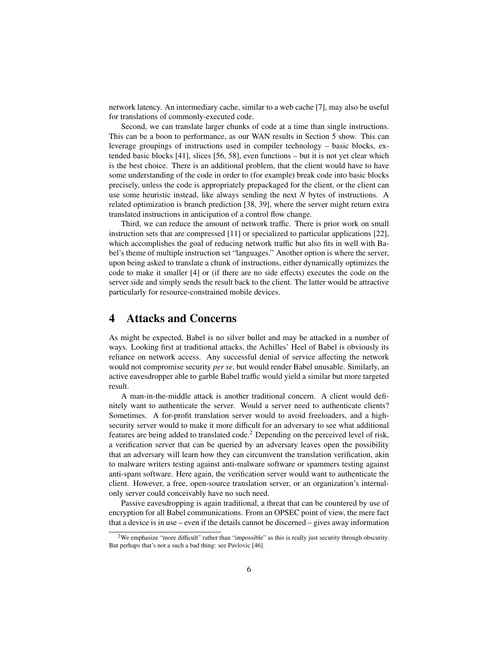network latency. An intermediary cache, similar to a web cache [7], may also be useful for translations of commonly-executed code.

Second, we can translate larger chunks of code at a time than single instructions. This can be a boon to performance, as our WAN results in Section 5 show. This can leverage groupings of instructions used in compiler technology – basic blocks, extended basic blocks [41], slices [56, 58], even functions – but it is not yet clear which is the best choice. There is an additional problem, that the client would have to have some understanding of the code in order to (for example) break code into basic blocks precisely, unless the code is appropriately prepackaged for the client, or the client can use some heuristic instead, like always sending the next *N* bytes of instructions. A related optimization is branch prediction [38, 39], where the server might return extra translated instructions in anticipation of a control flow change.

Third, we can reduce the amount of network traffic. There is prior work on small instruction sets that are compressed [11] or specialized to particular applications [22], which accomplishes the goal of reducing network traffic but also fits in well with Babel's theme of multiple instruction set "languages." Another option is where the server, upon being asked to translate a chunk of instructions, either dynamically optimizes the code to make it smaller [4] or (if there are no side effects) executes the code on the server side and simply sends the result back to the client. The latter would be attractive particularly for resource-constrained mobile devices.

### 4 Attacks and Concerns

As might be expected, Babel is no silver bullet and may be attacked in a number of ways. Looking first at traditional attacks, the Achilles' Heel of Babel is obviously its reliance on network access. Any successful denial of service affecting the network would not compromise security *per se*, but would render Babel unusable. Similarly, an active eavesdropper able to garble Babel traffic would yield a similar but more targeted result.

A man-in-the-middle attack is another traditional concern. A client would definitely want to authenticate the server. Would a server need to authenticate clients? Sometimes. A for-profit translation server would to avoid freeloaders, and a highsecurity server would to make it more difficult for an adversary to see what additional features are being added to translated code.<sup>2</sup> Depending on the perceived level of risk, a verification server that can be queried by an adversary leaves open the possibility that an adversary will learn how they can circumvent the translation verification, akin to malware writers testing against anti-malware software or spammers testing against anti-spam software. Here again, the verification server would want to authenticate the client. However, a free, open-source translation server, or an organization's internalonly server could conceivably have no such need.

Passive eavesdropping is again traditional, a threat that can be countered by use of encryption for all Babel communications. From an OPSEC point of view, the mere fact that a device is in use – even if the details cannot be discerned – gives away information

<sup>&</sup>lt;sup>2</sup>We emphasize "more difficult" rather than "impossible" as this is really just security through obscurity. But perhaps that's not a such a bad thing: see Pavlovic [46].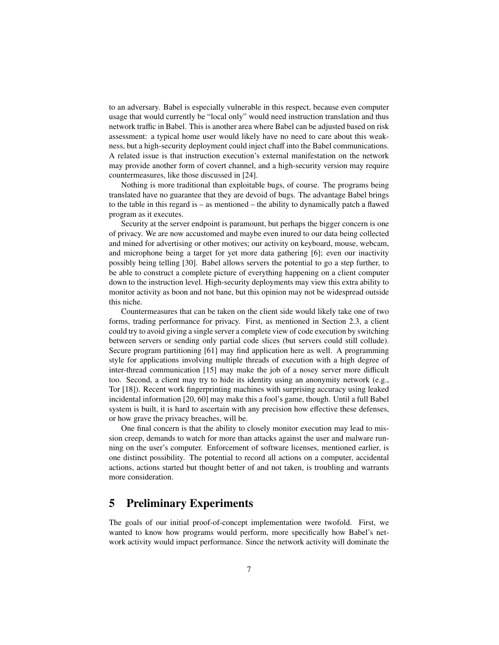to an adversary. Babel is especially vulnerable in this respect, because even computer usage that would currently be "local only" would need instruction translation and thus network traffic in Babel. This is another area where Babel can be adjusted based on risk assessment: a typical home user would likely have no need to care about this weakness, but a high-security deployment could inject chaff into the Babel communications. A related issue is that instruction execution's external manifestation on the network may provide another form of covert channel, and a high-security version may require countermeasures, like those discussed in [24].

Nothing is more traditional than exploitable bugs, of course. The programs being translated have no guarantee that they are devoid of bugs. The advantage Babel brings to the table in this regard is – as mentioned – the ability to dynamically patch a flawed program as it executes.

Security at the server endpoint is paramount, but perhaps the bigger concern is one of privacy. We are now accustomed and maybe even inured to our data being collected and mined for advertising or other motives; our activity on keyboard, mouse, webcam, and microphone being a target for yet more data gathering [6]; even our inactivity possibly being telling [30]. Babel allows servers the potential to go a step further, to be able to construct a complete picture of everything happening on a client computer down to the instruction level. High-security deployments may view this extra ability to monitor activity as boon and not bane, but this opinion may not be widespread outside this niche.

Countermeasures that can be taken on the client side would likely take one of two forms, trading performance for privacy. First, as mentioned in Section 2.3, a client could try to avoid giving a single server a complete view of code execution by switching between servers or sending only partial code slices (but servers could still collude). Secure program partitioning [61] may find application here as well. A programming style for applications involving multiple threads of execution with a high degree of inter-thread communication [15] may make the job of a nosey server more difficult too. Second, a client may try to hide its identity using an anonymity network (e.g., Tor [18]). Recent work fingerprinting machines with surprising accuracy using leaked incidental information [20, 60] may make this a fool's game, though. Until a full Babel system is built, it is hard to ascertain with any precision how effective these defenses, or how grave the privacy breaches, will be.

One final concern is that the ability to closely monitor execution may lead to mission creep, demands to watch for more than attacks against the user and malware running on the user's computer. Enforcement of software licenses, mentioned earlier, is one distinct possibility. The potential to record all actions on a computer, accidental actions, actions started but thought better of and not taken, is troubling and warrants more consideration.

### 5 Preliminary Experiments

The goals of our initial proof-of-concept implementation were twofold. First, we wanted to know how programs would perform, more specifically how Babel's network activity would impact performance. Since the network activity will dominate the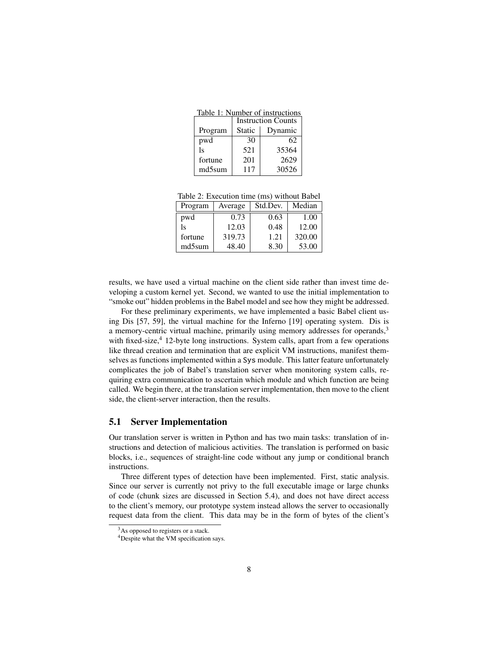Table 1: Number of instructions

|         |         | <b>Instruction Counts</b> |         |  |
|---------|---------|---------------------------|---------|--|
| Program |         | <b>Static</b>             | Dynamic |  |
|         | pwd     | 30                        | 62      |  |
|         | ls      | 521                       | 35364   |  |
|         | fortune | 201                       | 2629    |  |
|         | md5sum  | 117                       | 30526   |  |

Table 2: Execution time (ms) without Babel

| Program | Average | Std.Dev. | Median |
|---------|---------|----------|--------|
| pwd     | 0.73    | 0.63     | 1.00   |
| ls      | 12.03   | 0.48     | 12.00  |
| fortune | 319.73  | 1.21     | 320.00 |
| md5sum  | 48.40   | 8.30     | 53.00  |

results, we have used a virtual machine on the client side rather than invest time developing a custom kernel yet. Second, we wanted to use the initial implementation to "smoke out" hidden problems in the Babel model and see how they might be addressed.

For these preliminary experiments, we have implemented a basic Babel client using Dis [57, 59], the virtual machine for the Inferno [19] operating system. Dis is a memory-centric virtual machine, primarily using memory addresses for operands,<sup>3</sup> with fixed-size,<sup>4</sup> 12-byte long instructions. System calls, apart from a few operations like thread creation and termination that are explicit VM instructions, manifest themselves as functions implemented within a Sys module. This latter feature unfortunately complicates the job of Babel's translation server when monitoring system calls, requiring extra communication to ascertain which module and which function are being called. We begin there, at the translation server implementation, then move to the client side, the client-server interaction, then the results.

### 5.1 Server Implementation

Our translation server is written in Python and has two main tasks: translation of instructions and detection of malicious activities. The translation is performed on basic blocks, i.e., sequences of straight-line code without any jump or conditional branch instructions.

Three different types of detection have been implemented. First, static analysis. Since our server is currently not privy to the full executable image or large chunks of code (chunk sizes are discussed in Section 5.4), and does not have direct access to the client's memory, our prototype system instead allows the server to occasionally request data from the client. This data may be in the form of bytes of the client's

 $3As$  opposed to registers or a stack.

<sup>4</sup>Despite what the VM specification says.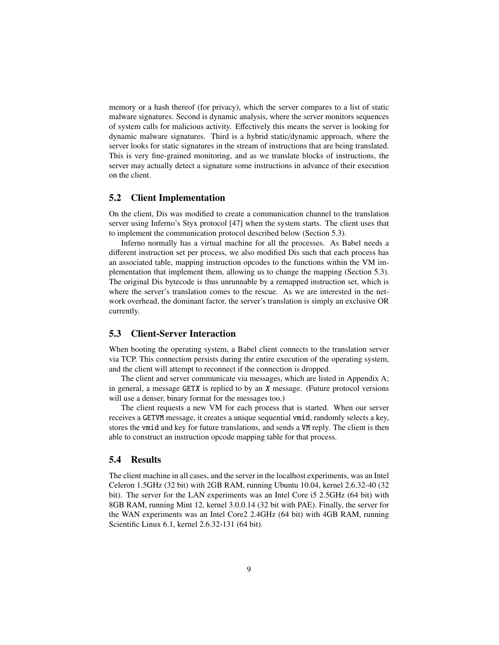memory or a hash thereof (for privacy), which the server compares to a list of static malware signatures. Second is dynamic analysis, where the server monitors sequences of system calls for malicious activity. Effectively this means the server is looking for dynamic malware signatures. Third is a hybrid static/dynamic approach, where the server looks for static signatures in the stream of instructions that are being translated. This is very fine-grained monitoring, and as we translate blocks of instructions, the server may actually detect a signature some instructions in advance of their execution on the client.

### 5.2 Client Implementation

On the client, Dis was modified to create a communication channel to the translation server using Inferno's Styx protocol [47] when the system starts. The client uses that to implement the communication protocol described below (Section 5.3).

Inferno normally has a virtual machine for all the processes. As Babel needs a different instruction set per process, we also modified Dis such that each process has an associated table, mapping instruction opcodes to the functions within the VM implementation that implement them, allowing us to change the mapping (Section 5.3). The original Dis bytecode is thus unrunnable by a remapped instruction set, which is where the server's translation comes to the rescue. As we are interested in the network overhead, the dominant factor, the server's translation is simply an exclusive OR currently.

### 5.3 Client-Server Interaction

When booting the operating system, a Babel client connects to the translation server via TCP. This connection persists during the entire execution of the operating system, and the client will attempt to reconnect if the connection is dropped.

The client and server communicate via messages, which are listed in Appendix A; in general, a message GETX is replied to by an X message. (Future protocol versions will use a denser, binary format for the messages too.)

The client requests a new VM for each process that is started. When our server receives a GETVM message, it creates a unique sequential vmid, randomly selects a key, stores the vmid and key for future translations, and sends a VM reply. The client is then able to construct an instruction opcode mapping table for that process.

### 5.4 Results

The client machine in all cases, and the server in the localhost experiments, was an Intel Celeron 1.5GHz (32 bit) with 2GB RAM, running Ubuntu 10.04, kernel 2.6.32-40 (32 bit). The server for the LAN experiments was an Intel Core i5 2.5GHz (64 bit) with 8GB RAM, running Mint 12, kernel 3.0.0.14 (32 bit with PAE). Finally, the server for the WAN experiments was an Intel Core2 2.4GHz (64 bit) with 4GB RAM, running Scientific Linux 6.1, kernel 2.6.32-131 (64 bit).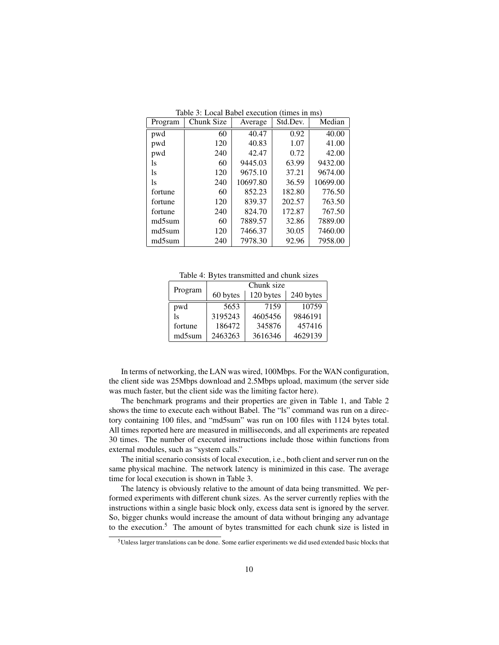| Program | Chunk Size | Average  | Std.Dev. | Median   |
|---------|------------|----------|----------|----------|
| pwd     | 60         | 40.47    | 0.92     | 40.00    |
| pwd     | 120        | 40.83    | 1.07     | 41.00    |
| pwd     | 240        | 42.47    | 0.72     | 42.00    |
| ls      | 60         | 9445.03  | 63.99    | 9432.00  |
| ls      | 120        | 9675.10  | 37.21    | 9674.00  |
| ls      | 240        | 10697.80 | 36.59    | 10699.00 |
| fortune | 60         | 852.23   | 182.80   | 776.50   |
| fortune | 120        | 839.37   | 202.57   | 763.50   |
| fortune | 240        | 824.70   | 172.87   | 767.50   |
| md5sum  | 60         | 7889.57  | 32.86    | 7889.00  |
| md5sum  | 120        | 7466.37  | 30.05    | 7460.00  |
| md5sum  | 240        | 7978.30  | 92.96    | 7958.00  |

Table 3: Local Babel execution (times in ms)

Table 4: Bytes transmitted and chunk sizes

| Program | Chunk size |           |           |  |
|---------|------------|-----------|-----------|--|
|         | 60 bytes   | 120 bytes | 240 bytes |  |
| pwd     | 5653       | 7159      | 10759     |  |
| ls      | 3195243    | 4605456   | 9846191   |  |
| fortune | 186472     | 345876    | 457416    |  |
| md5sum  | 2463263    | 3616346   | 4629139   |  |

In terms of networking, the LAN was wired, 100Mbps. For the WAN configuration, the client side was 25Mbps download and 2.5Mbps upload, maximum (the server side was much faster, but the client side was the limiting factor here).

The benchmark programs and their properties are given in Table 1, and Table 2 shows the time to execute each without Babel. The "ls" command was run on a directory containing 100 files, and "md5sum" was run on 100 files with 1124 bytes total. All times reported here are measured in milliseconds, and all experiments are repeated 30 times. The number of executed instructions include those within functions from external modules, such as "system calls."

The initial scenario consists of local execution, i.e., both client and server run on the same physical machine. The network latency is minimized in this case. The average time for local execution is shown in Table 3.

The latency is obviously relative to the amount of data being transmitted. We performed experiments with different chunk sizes. As the server currently replies with the instructions within a single basic block only, excess data sent is ignored by the server. So, bigger chunks would increase the amount of data without bringing any advantage to the execution.<sup>5</sup> The amount of bytes transmitted for each chunk size is listed in

<sup>5</sup>Unless larger translations can be done. Some earlier experiments we did used extended basic blocks that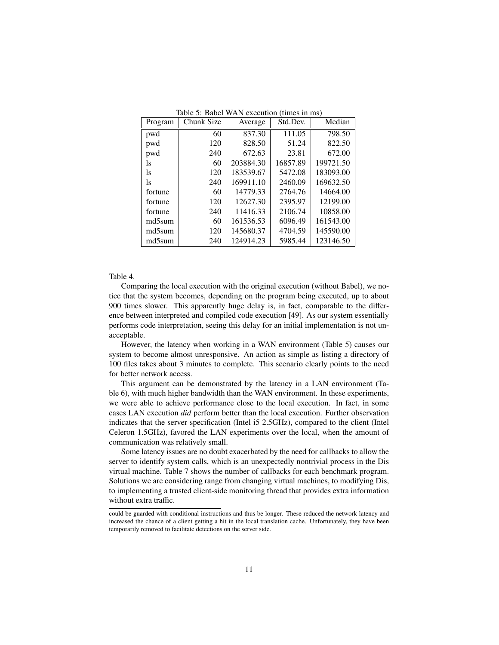| Program | Chunk Size | Average   | Std.Dev. | Median    |
|---------|------------|-----------|----------|-----------|
| pwd     | 60         | 837.30    | 111.05   | 798.50    |
| pwd     | 120        | 828.50    | 51.24    | 822.50    |
| pwd     | 240        | 672.63    | 23.81    | 672.00    |
| 1s      | 60         | 203884.30 | 16857.89 | 199721.50 |
| 1s      | 120        | 183539.67 | 5472.08  | 183093.00 |
| 1s      | 240        | 169911.10 | 2460.09  | 169632.50 |
| fortune | 60         | 14779.33  | 2764.76  | 14664.00  |
| fortune | 120        | 12627.30  | 2395.97  | 12199.00  |
| fortune | 240        | 11416.33  | 2106.74  | 10858.00  |
| md5sum  | 60         | 161536.53 | 6096.49  | 161543.00 |
| md5sum  | 120        | 145680.37 | 4704.59  | 145590.00 |
| md5sum  | 240        | 124914.23 | 5985.44  | 123146.50 |

Table 5: Babel WAN execution (times in ms)

#### Table 4.

Comparing the local execution with the original execution (without Babel), we notice that the system becomes, depending on the program being executed, up to about 900 times slower. This apparently huge delay is, in fact, comparable to the difference between interpreted and compiled code execution [49]. As our system essentially performs code interpretation, seeing this delay for an initial implementation is not unacceptable.

However, the latency when working in a WAN environment (Table 5) causes our system to become almost unresponsive. An action as simple as listing a directory of 100 files takes about 3 minutes to complete. This scenario clearly points to the need for better network access.

This argument can be demonstrated by the latency in a LAN environment (Table 6), with much higher bandwidth than the WAN environment. In these experiments, we were able to achieve performance close to the local execution. In fact, in some cases LAN execution *did* perform better than the local execution. Further observation indicates that the server specification (Intel i5 2.5GHz), compared to the client (Intel Celeron 1.5GHz), favored the LAN experiments over the local, when the amount of communication was relatively small.

Some latency issues are no doubt exacerbated by the need for callbacks to allow the server to identify system calls, which is an unexpectedly nontrivial process in the Dis virtual machine. Table 7 shows the number of callbacks for each benchmark program. Solutions we are considering range from changing virtual machines, to modifying Dis, to implementing a trusted client-side monitoring thread that provides extra information without extra traffic.

could be guarded with conditional instructions and thus be longer. These reduced the network latency and increased the chance of a client getting a hit in the local translation cache. Unfortunately, they have been temporarily removed to facilitate detections on the server side.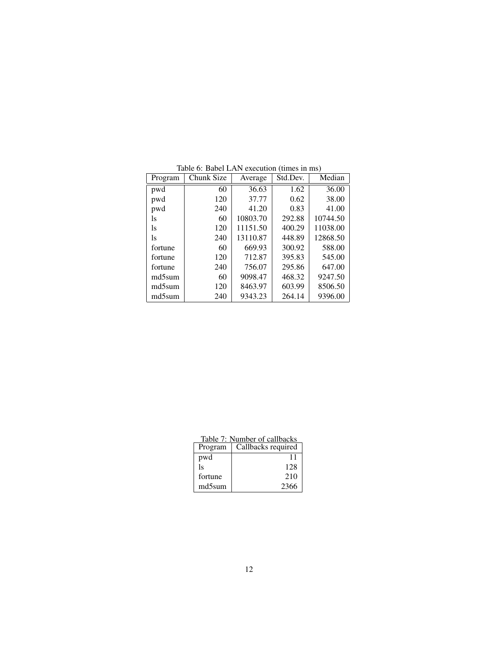| Program | Chunk Size | Average  | Std.Dev. | Median   |
|---------|------------|----------|----------|----------|
| pwd     | 60         | 36.63    | 1.62     | 36.00    |
| pwd     | 120        | 37.77    | 0.62     | 38.00    |
| pwd     | 240        | 41.20    | 0.83     | 41.00    |
| ls      | 60         | 10803.70 | 292.88   | 10744.50 |
| ls      | 120        | 11151.50 | 400.29   | 11038.00 |
| ls      | 240        | 13110.87 | 448.89   | 12868.50 |
| fortune | 60         | 669.93   | 300.92   | 588.00   |
| fortune | 120        | 712.87   | 395.83   | 545.00   |
| fortune | 240        | 756.07   | 295.86   | 647.00   |
| md5sum  | 60         | 9098.47  | 468.32   | 9247.50  |
| md5sum  | 120        | 8463.97  | 603.99   | 8506.50  |
| md5sum  | 240        | 9343.23  | 264.14   | 9396.00  |

Table 6: Babel LAN execution (times in ms)

|  | Table 7: Number of callbacks |  |
|--|------------------------------|--|
|  |                              |  |

| Program | Callbacks required |  |
|---------|--------------------|--|
| pwd     | 11                 |  |
| ls      | 128                |  |
| fortune | 210                |  |
| md5sum  | 2366               |  |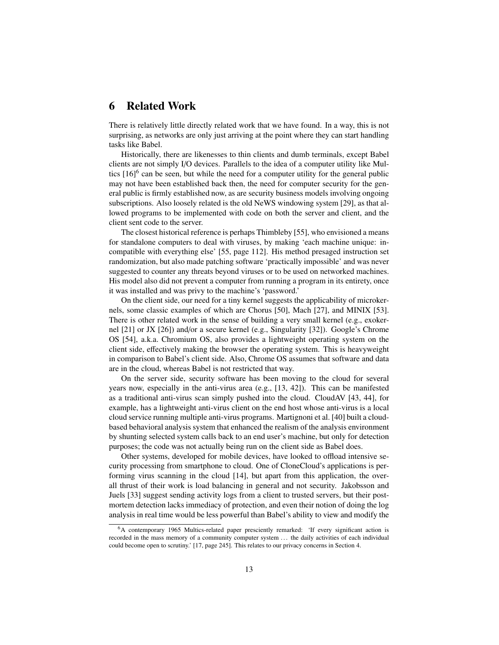### 6 Related Work

There is relatively little directly related work that we have found. In a way, this is not surprising, as networks are only just arriving at the point where they can start handling tasks like Babel.

Historically, there are likenesses to thin clients and dumb terminals, except Babel clients are not simply I/O devices. Parallels to the idea of a computer utility like Multics  $[16]$ <sup>6</sup> can be seen, but while the need for a computer utility for the general public may not have been established back then, the need for computer security for the general public is firmly established now, as are security business models involving ongoing subscriptions. Also loosely related is the old NeWS windowing system [29], as that allowed programs to be implemented with code on both the server and client, and the client sent code to the server.

The closest historical reference is perhaps Thimbleby [55], who envisioned a means for standalone computers to deal with viruses, by making 'each machine unique: incompatible with everything else' [55, page 112]. His method presaged instruction set randomization, but also made patching software 'practically impossible' and was never suggested to counter any threats beyond viruses or to be used on networked machines. His model also did not prevent a computer from running a program in its entirety, once it was installed and was privy to the machine's 'password.'

On the client side, our need for a tiny kernel suggests the applicability of microkernels, some classic examples of which are Chorus [50], Mach [27], and MINIX [53]. There is other related work in the sense of building a very small kernel (e.g., exokernel [21] or JX [26]) and/or a secure kernel (e.g., Singularity [32]). Google's Chrome OS [54], a.k.a. Chromium OS, also provides a lightweight operating system on the client side, effectively making the browser the operating system. This is heavyweight in comparison to Babel's client side. Also, Chrome OS assumes that software and data are in the cloud, whereas Babel is not restricted that way.

On the server side, security software has been moving to the cloud for several years now, especially in the anti-virus area (e.g., [13, 42]). This can be manifested as a traditional anti-virus scan simply pushed into the cloud. CloudAV [43, 44], for example, has a lightweight anti-virus client on the end host whose anti-virus is a local cloud service running multiple anti-virus programs. Martignoni et al. [40] built a cloudbased behavioral analysis system that enhanced the realism of the analysis environment by shunting selected system calls back to an end user's machine, but only for detection purposes; the code was not actually being run on the client side as Babel does.

Other systems, developed for mobile devices, have looked to offload intensive security processing from smartphone to cloud. One of CloneCloud's applications is performing virus scanning in the cloud [14], but apart from this application, the overall thrust of their work is load balancing in general and not security. Jakobsson and Juels [33] suggest sending activity logs from a client to trusted servers, but their postmortem detection lacks immediacy of protection, and even their notion of doing the log analysis in real time would be less powerful than Babel's ability to view and modify the

<sup>6</sup>A contemporary 1965 Multics-related paper presciently remarked: 'If every significant action is recorded in the mass memory of a community computer system . . . the daily activities of each individual could become open to scrutiny.' [17, page 245]. This relates to our privacy concerns in Section 4.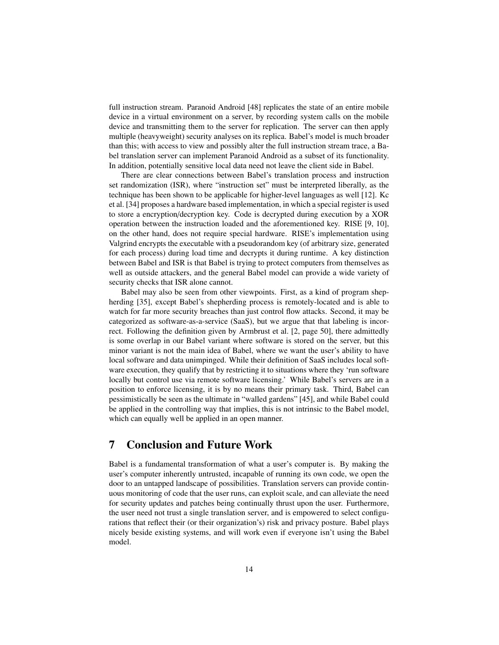full instruction stream. Paranoid Android [48] replicates the state of an entire mobile device in a virtual environment on a server, by recording system calls on the mobile device and transmitting them to the server for replication. The server can then apply multiple (heavyweight) security analyses on its replica. Babel's model is much broader than this; with access to view and possibly alter the full instruction stream trace, a Babel translation server can implement Paranoid Android as a subset of its functionality. In addition, potentially sensitive local data need not leave the client side in Babel.

There are clear connections between Babel's translation process and instruction set randomization (ISR), where "instruction set" must be interpreted liberally, as the technique has been shown to be applicable for higher-level languages as well [12]. Kc et al. [34] proposes a hardware based implementation, in which a special register is used to store a encryption/decryption key. Code is decrypted during execution by a XOR operation between the instruction loaded and the aforementioned key. RISE [9, 10], on the other hand, does not require special hardware. RISE's implementation using Valgrind encrypts the executable with a pseudorandom key (of arbitrary size, generated for each process) during load time and decrypts it during runtime. A key distinction between Babel and ISR is that Babel is trying to protect computers from themselves as well as outside attackers, and the general Babel model can provide a wide variety of security checks that ISR alone cannot.

Babel may also be seen from other viewpoints. First, as a kind of program shepherding [35], except Babel's shepherding process is remotely-located and is able to watch for far more security breaches than just control flow attacks. Second, it may be categorized as software-as-a-service (SaaS), but we argue that that labeling is incorrect. Following the definition given by Armbrust et al. [2, page 50], there admittedly is some overlap in our Babel variant where software is stored on the server, but this minor variant is not the main idea of Babel, where we want the user's ability to have local software and data unimpinged. While their definition of SaaS includes local software execution, they qualify that by restricting it to situations where they 'run software locally but control use via remote software licensing.' While Babel's servers are in a position to enforce licensing, it is by no means their primary task. Third, Babel can pessimistically be seen as the ultimate in "walled gardens" [45], and while Babel could be applied in the controlling way that implies, this is not intrinsic to the Babel model, which can equally well be applied in an open manner.

# 7 Conclusion and Future Work

Babel is a fundamental transformation of what a user's computer is. By making the user's computer inherently untrusted, incapable of running its own code, we open the door to an untapped landscape of possibilities. Translation servers can provide continuous monitoring of code that the user runs, can exploit scale, and can alleviate the need for security updates and patches being continually thrust upon the user. Furthermore, the user need not trust a single translation server, and is empowered to select configurations that reflect their (or their organization's) risk and privacy posture. Babel plays nicely beside existing systems, and will work even if everyone isn't using the Babel model.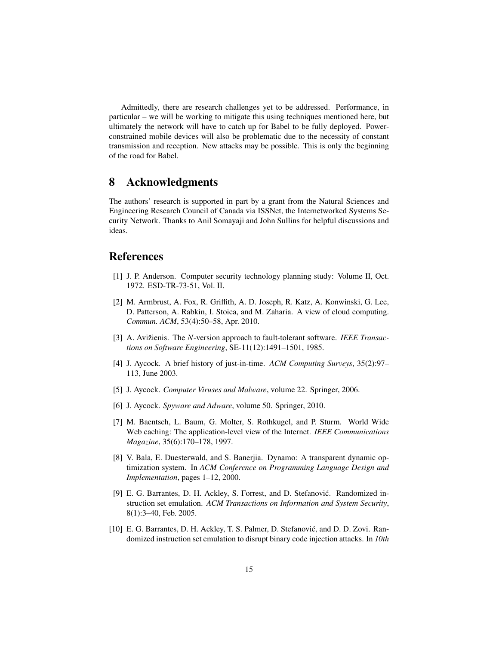Admittedly, there are research challenges yet to be addressed. Performance, in particular – we will be working to mitigate this using techniques mentioned here, but ultimately the network will have to catch up for Babel to be fully deployed. Powerconstrained mobile devices will also be problematic due to the necessity of constant transmission and reception. New attacks may be possible. This is only the beginning of the road for Babel.

### 8 Acknowledgments

The authors' research is supported in part by a grant from the Natural Sciences and Engineering Research Council of Canada via ISSNet, the Internetworked Systems Security Network. Thanks to Anil Somayaji and John Sullins for helpful discussions and ideas.

### References

- [1] J. P. Anderson. Computer security technology planning study: Volume II, Oct. 1972. ESD-TR-73-51, Vol. II.
- [2] M. Armbrust, A. Fox, R. Griffith, A. D. Joseph, R. Katz, A. Konwinski, G. Lee, D. Patterson, A. Rabkin, I. Stoica, and M. Zaharia. A view of cloud computing. *Commun. ACM*, 53(4):50–58, Apr. 2010.
- [3] A. Avižienis. The *N*-version approach to fault-tolerant software. *IEEE Transactions on Software Engineering*, SE-11(12):1491–1501, 1985.
- [4] J. Aycock. A brief history of just-in-time. *ACM Computing Surveys*, 35(2):97– 113, June 2003.
- [5] J. Aycock. *Computer Viruses and Malware*, volume 22. Springer, 2006.
- [6] J. Aycock. *Spyware and Adware*, volume 50. Springer, 2010.
- [7] M. Baentsch, L. Baum, G. Molter, S. Rothkugel, and P. Sturm. World Wide Web caching: The application-level view of the Internet. *IEEE Communications Magazine*, 35(6):170–178, 1997.
- [8] V. Bala, E. Duesterwald, and S. Banerjia. Dynamo: A transparent dynamic optimization system. In *ACM Conference on Programming Language Design and Implementation*, pages 1–12, 2000.
- [9] E. G. Barrantes, D. H. Ackley, S. Forrest, and D. Stefanović. Randomized instruction set emulation. *ACM Transactions on Information and System Security*, 8(1):3–40, Feb. 2005.
- [10] E. G. Barrantes, D. H. Ackley, T. S. Palmer, D. Stefanovic, and D. D. Zovi. Ran- ´ domized instruction set emulation to disrupt binary code injection attacks. In *10th*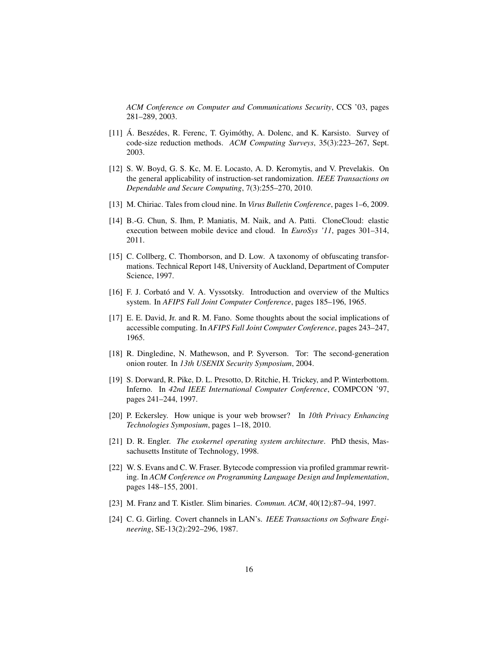*ACM Conference on Computer and Communications Security*, CCS '03, pages 281–289, 2003.

- $[11]$  Á. Beszédes, R. Ferenc, T. Gyimóthy, A. Dolenc, and K. Karsisto. Survey of code-size reduction methods. *ACM Computing Surveys*, 35(3):223–267, Sept. 2003.
- [12] S. W. Boyd, G. S. Kc, M. E. Locasto, A. D. Keromytis, and V. Prevelakis. On the general applicability of instruction-set randomization. *IEEE Transactions on Dependable and Secure Computing*, 7(3):255–270, 2010.
- [13] M. Chiriac. Tales from cloud nine. In *Virus Bulletin Conference*, pages 1–6, 2009.
- [14] B.-G. Chun, S. Ihm, P. Maniatis, M. Naik, and A. Patti. CloneCloud: elastic execution between mobile device and cloud. In *EuroSys '11*, pages 301–314, 2011.
- [15] C. Collberg, C. Thomborson, and D. Low. A taxonomy of obfuscating transformations. Technical Report 148, University of Auckland, Department of Computer Science, 1997.
- [16] F. J. Corbató and V. A. Vyssotsky. Introduction and overview of the Multics system. In *AFIPS Fall Joint Computer Conference*, pages 185–196, 1965.
- [17] E. E. David, Jr. and R. M. Fano. Some thoughts about the social implications of accessible computing. In *AFIPS Fall Joint Computer Conference*, pages 243–247, 1965.
- [18] R. Dingledine, N. Mathewson, and P. Syverson. Tor: The second-generation onion router. In *13th USENIX Security Symposium*, 2004.
- [19] S. Dorward, R. Pike, D. L. Presotto, D. Ritchie, H. Trickey, and P. Winterbottom. Inferno. In *42nd IEEE International Computer Conference*, COMPCON '97, pages 241–244, 1997.
- [20] P. Eckersley. How unique is your web browser? In *10th Privacy Enhancing Technologies Symposium*, pages 1–18, 2010.
- [21] D. R. Engler. *The exokernel operating system architecture*. PhD thesis, Massachusetts Institute of Technology, 1998.
- [22] W. S. Evans and C. W. Fraser. Bytecode compression via profiled grammar rewriting. In *ACM Conference on Programming Language Design and Implementation*, pages 148–155, 2001.
- [23] M. Franz and T. Kistler. Slim binaries. *Commun. ACM*, 40(12):87–94, 1997.
- [24] C. G. Girling. Covert channels in LAN's. *IEEE Transactions on Software Engineering*, SE-13(2):292–296, 1987.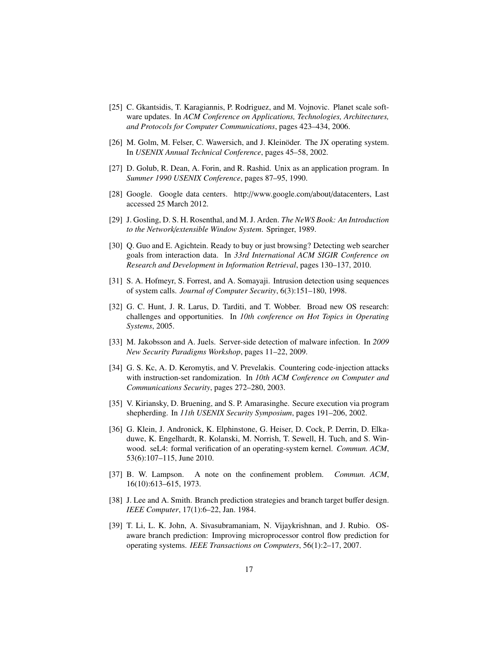- [25] C. Gkantsidis, T. Karagiannis, P. Rodriguez, and M. Vojnovic. Planet scale software updates. In *ACM Conference on Applications, Technologies, Architectures, and Protocols for Computer Communications*, pages 423–434, 2006.
- [26] M. Golm, M. Felser, C. Wawersich, and J. Kleinöder. The JX operating system. In *USENIX Annual Technical Conference*, pages 45–58, 2002.
- [27] D. Golub, R. Dean, A. Forin, and R. Rashid. Unix as an application program. In *Summer 1990 USENIX Conference*, pages 87–95, 1990.
- [28] Google. Google data centers. http://www.google.com/about/datacenters, Last accessed 25 March 2012.
- [29] J. Gosling, D. S. H. Rosenthal, and M. J. Arden. *The NeWS Book: An Introduction to the Network*/*extensible Window System*. Springer, 1989.
- [30] Q. Guo and E. Agichtein. Ready to buy or just browsing? Detecting web searcher goals from interaction data. In *33rd International ACM SIGIR Conference on Research and Development in Information Retrieval*, pages 130–137, 2010.
- [31] S. A. Hofmeyr, S. Forrest, and A. Somayaji. Intrusion detection using sequences of system calls. *Journal of Computer Security*, 6(3):151–180, 1998.
- [32] G. C. Hunt, J. R. Larus, D. Tarditi, and T. Wobber. Broad new OS research: challenges and opportunities. In *10th conference on Hot Topics in Operating Systems*, 2005.
- [33] M. Jakobsson and A. Juels. Server-side detection of malware infection. In *2009 New Security Paradigms Workshop*, pages 11–22, 2009.
- [34] G. S. Kc, A. D. Keromytis, and V. Prevelakis. Countering code-injection attacks with instruction-set randomization. In *10th ACM Conference on Computer and Communications Security*, pages 272–280, 2003.
- [35] V. Kiriansky, D. Bruening, and S. P. Amarasinghe. Secure execution via program shepherding. In *11th USENIX Security Symposium*, pages 191–206, 2002.
- [36] G. Klein, J. Andronick, K. Elphinstone, G. Heiser, D. Cock, P. Derrin, D. Elkaduwe, K. Engelhardt, R. Kolanski, M. Norrish, T. Sewell, H. Tuch, and S. Winwood. seL4: formal verification of an operating-system kernel. *Commun. ACM*, 53(6):107–115, June 2010.
- [37] B. W. Lampson. A note on the confinement problem. *Commun. ACM*, 16(10):613–615, 1973.
- [38] J. Lee and A. Smith. Branch prediction strategies and branch target buffer design. *IEEE Computer*, 17(1):6–22, Jan. 1984.
- [39] T. Li, L. K. John, A. Sivasubramaniam, N. Vijaykrishnan, and J. Rubio. OSaware branch prediction: Improving microprocessor control flow prediction for operating systems. *IEEE Transactions on Computers*, 56(1):2–17, 2007.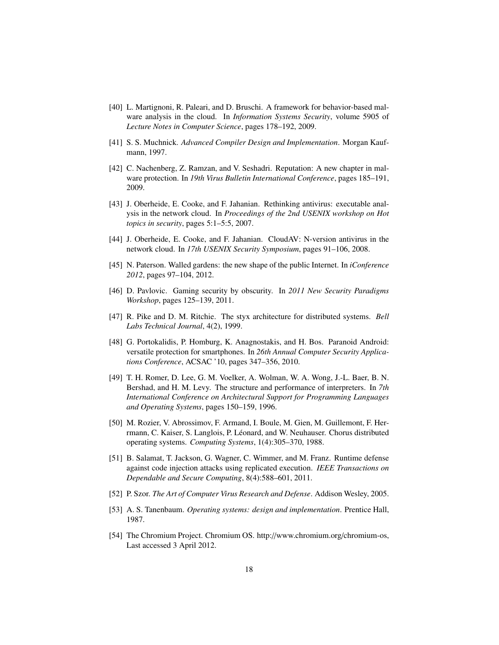- [40] L. Martignoni, R. Paleari, and D. Bruschi. A framework for behavior-based malware analysis in the cloud. In *Information Systems Security*, volume 5905 of *Lecture Notes in Computer Science*, pages 178–192, 2009.
- [41] S. S. Muchnick. *Advanced Compiler Design and Implementation*. Morgan Kaufmann, 1997.
- [42] C. Nachenberg, Z. Ramzan, and V. Seshadri. Reputation: A new chapter in malware protection. In *19th Virus Bulletin International Conference*, pages 185–191, 2009.
- [43] J. Oberheide, E. Cooke, and F. Jahanian. Rethinking antivirus: executable analysis in the network cloud. In *Proceedings of the 2nd USENIX workshop on Hot topics in security*, pages 5:1–5:5, 2007.
- [44] J. Oberheide, E. Cooke, and F. Jahanian. CloudAV: N-version antivirus in the network cloud. In *17th USENIX Security Symposium*, pages 91–106, 2008.
- [45] N. Paterson. Walled gardens: the new shape of the public Internet. In *iConference 2012*, pages 97–104, 2012.
- [46] D. Pavlovic. Gaming security by obscurity. In *2011 New Security Paradigms Workshop*, pages 125–139, 2011.
- [47] R. Pike and D. M. Ritchie. The styx architecture for distributed systems. *Bell Labs Technical Journal*, 4(2), 1999.
- [48] G. Portokalidis, P. Homburg, K. Anagnostakis, and H. Bos. Paranoid Android: versatile protection for smartphones. In *26th Annual Computer Security Applications Conference*, ACSAC '10, pages 347–356, 2010.
- [49] T. H. Romer, D. Lee, G. M. Voelker, A. Wolman, W. A. Wong, J.-L. Baer, B. N. Bershad, and H. M. Levy. The structure and performance of interpreters. In *7th International Conference on Architectural Support for Programming Languages and Operating Systems*, pages 150–159, 1996.
- [50] M. Rozier, V. Abrossimov, F. Armand, I. Boule, M. Gien, M. Guillemont, F. Herrmann, C. Kaiser, S. Langlois, P. Léonard, and W. Neuhauser. Chorus distributed operating systems. *Computing Systems*, 1(4):305–370, 1988.
- [51] B. Salamat, T. Jackson, G. Wagner, C. Wimmer, and M. Franz. Runtime defense against code injection attacks using replicated execution. *IEEE Transactions on Dependable and Secure Computing*, 8(4):588–601, 2011.
- [52] P. Szor. *The Art of Computer Virus Research and Defense*. Addison Wesley, 2005.
- [53] A. S. Tanenbaum. *Operating systems: design and implementation*. Prentice Hall, 1987.
- [54] The Chromium Project. Chromium OS. http://www.chromium.org/chromium-os, Last accessed 3 April 2012.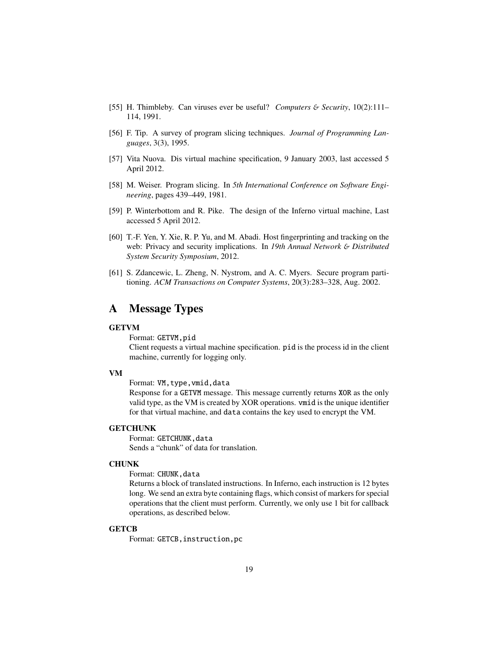- [55] H. Thimbleby. Can viruses ever be useful? *Computers* & *Security*, 10(2):111– 114, 1991.
- [56] F. Tip. A survey of program slicing techniques. *Journal of Programming Languages*, 3(3), 1995.
- [57] Vita Nuova. Dis virtual machine specification, 9 January 2003, last accessed 5 April 2012.
- [58] M. Weiser. Program slicing. In *5th International Conference on Software Engineering*, pages 439–449, 1981.
- [59] P. Winterbottom and R. Pike. The design of the Inferno virtual machine, Last accessed 5 April 2012.
- [60] T.-F. Yen, Y. Xie, R. P. Yu, and M. Abadi. Host fingerprinting and tracking on the web: Privacy and security implications. In *19th Annual Network* & *Distributed System Security Symposium*, 2012.
- [61] S. Zdancewic, L. Zheng, N. Nystrom, and A. C. Myers. Secure program partitioning. *ACM Transactions on Computer Systems*, 20(3):283–328, Aug. 2002.

# A Message Types

### **GETVM**

Format: GETVM,pid Client requests a virtual machine specification. pid is the process id in the client machine, currently for logging only.

### VM

Format: VM, type, vmid, data

Response for a GETVM message. This message currently returns XOR as the only valid type, as the VM is created by XOR operations. vmid is the unique identifier for that virtual machine, and data contains the key used to encrypt the VM.

#### **GETCHUNK**

Format: GETCHUNK, data Sends a "chunk" of data for translation.

#### **CHUNK**

Format: CHUNK, data

Returns a block of translated instructions. In Inferno, each instruction is 12 bytes long. We send an extra byte containing flags, which consist of markers for special operations that the client must perform. Currently, we only use 1 bit for callback operations, as described below.

### **GETCB**

Format: GETCB,instruction,pc